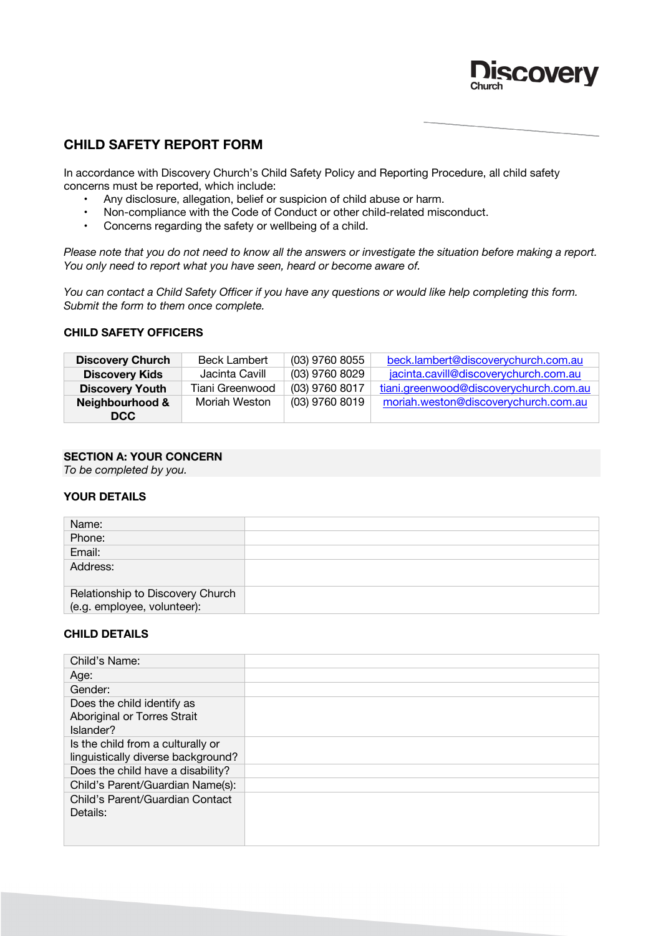

# **CHILD SAFETY REPORT FORM**

In accordance with Discovery Church's Child Safety Policy and Reporting Procedure, all child safety concerns must be reported, which include:

- Any disclosure, allegation, belief or suspicion of child abuse or harm.
- Non-compliance with the Code of Conduct or other child-related misconduct.<br>• Concerns regarding the safety or wellbeing of a child.
- Concerns regarding the safety or wellbeing of a child.

*Please note that you do not need to know all the answers or investigate the situation before making a report. You only need to report what you have seen, heard or become aware of.* 

*You can contact a Child Safety Officer if you have any questions or would like help completing this form. Submit the form to them once complete.* 

#### **CHILD SAFETY OFFICERS**

| <b>Discovery Church</b> | <b>Beck Lambert</b> | (03) 9760 8055 | beck.lambert@discoverychurch.com.au    |
|-------------------------|---------------------|----------------|----------------------------------------|
| <b>Discovery Kids</b>   | Jacinta Cavill      | (03) 9760 8029 | jacinta.cavill@discoverychurch.com.au  |
| <b>Discovery Youth</b>  | Tiani Greenwood     | (03) 9760 8017 | tiani.greenwood@discoverychurch.com.au |
| Neighbourhood &         | Moriah Weston       | (03) 9760 8019 | moriah.weston@discoverychurch.com.au   |
| DCC.                    |                     |                |                                        |

### **SECTION A: YOUR CONCERN**

*To be completed by you.*

#### **YOUR DETAILS**

| Name:                            |  |
|----------------------------------|--|
| Phone:                           |  |
| Email:                           |  |
| Address:                         |  |
| Relationship to Discovery Church |  |
| (e.g. employee, volunteer):      |  |

#### **CHILD DETAILS**

| Child's Name:                      |  |
|------------------------------------|--|
| Age:                               |  |
| Gender:                            |  |
| Does the child identify as         |  |
| Aboriginal or Torres Strait        |  |
| Islander?                          |  |
| Is the child from a culturally or  |  |
| linguistically diverse background? |  |
| Does the child have a disability?  |  |
| Child's Parent/Guardian Name(s):   |  |
| Child's Parent/Guardian Contact    |  |
| Details:                           |  |
|                                    |  |
|                                    |  |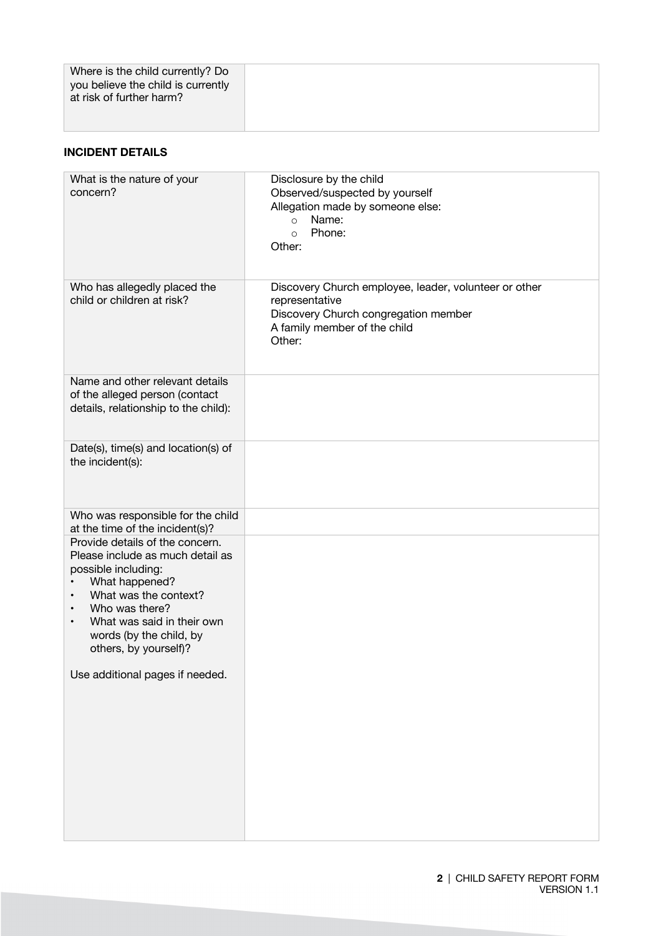## **INCIDENT DETAILS**

| What is the nature of your                                                                                                                                                                                                                                       | Disclosure by the child                                                                                                                                   |
|------------------------------------------------------------------------------------------------------------------------------------------------------------------------------------------------------------------------------------------------------------------|-----------------------------------------------------------------------------------------------------------------------------------------------------------|
| concern?                                                                                                                                                                                                                                                         | Observed/suspected by yourself<br>Allegation made by someone else:<br>Name:<br>$\circ$                                                                    |
|                                                                                                                                                                                                                                                                  | Phone:<br>$\circ$<br>Other:                                                                                                                               |
| Who has allegedly placed the<br>child or children at risk?                                                                                                                                                                                                       | Discovery Church employee, leader, volunteer or other<br>representative<br>Discovery Church congregation member<br>A family member of the child<br>Other: |
| Name and other relevant details<br>of the alleged person (contact<br>details, relationship to the child):                                                                                                                                                        |                                                                                                                                                           |
| Date(s), time(s) and location(s) of<br>the incident(s):                                                                                                                                                                                                          |                                                                                                                                                           |
| Who was responsible for the child<br>at the time of the incident(s)?                                                                                                                                                                                             |                                                                                                                                                           |
| Provide details of the concern.<br>Please include as much detail as<br>possible including:<br>What happened?<br>What was the context?<br>٠<br>Who was there?<br>٠<br>What was said in their own<br>$\bullet$<br>words (by the child, by<br>others, by yourself)? |                                                                                                                                                           |
| Use additional pages if needed.                                                                                                                                                                                                                                  |                                                                                                                                                           |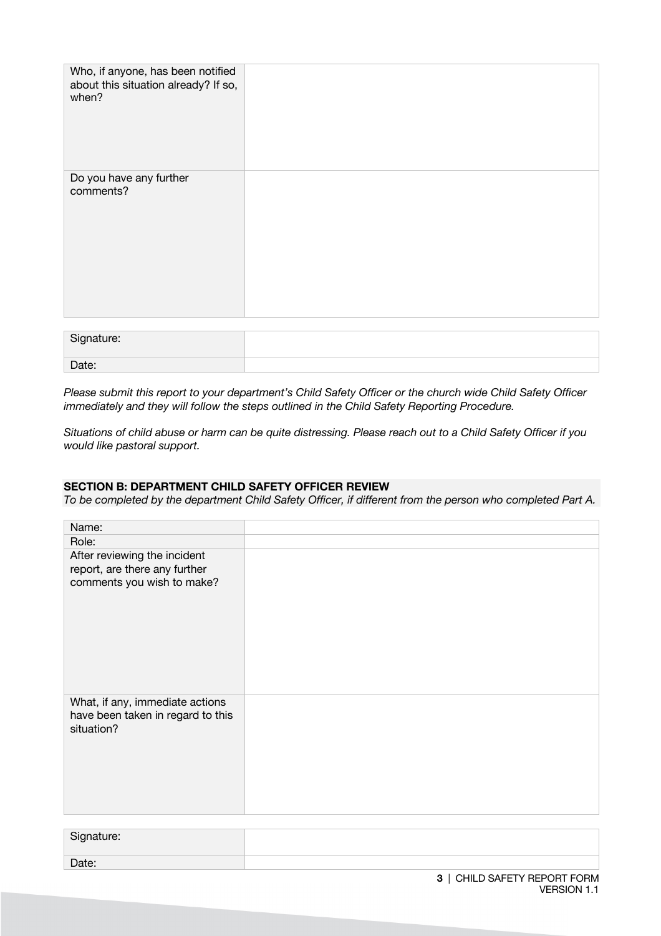| Who, if anyone, has been notified<br>about this situation already? If so,<br>when? |  |
|------------------------------------------------------------------------------------|--|
| Do you have any further<br>comments?                                               |  |

| Signature: |  |
|------------|--|
| Date:      |  |

*Please submit this report to your department's Child Safety Officer or the church wide Child Safety Officer immediately and they will follow the steps outlined in the Child Safety Reporting Procedure.* 

*Situations of child abuse or harm can be quite distressing. Please reach out to a Child Safety Officer if you would like pastoral support.*

### **SECTION B: DEPARTMENT CHILD SAFETY OFFICER REVIEW**

*To be completed by the department Child Safety Officer, if different from the person who completed Part A.*

| Name:                                                                                       |  |
|---------------------------------------------------------------------------------------------|--|
| Role:                                                                                       |  |
| After reviewing the incident<br>report, are there any further<br>comments you wish to make? |  |
| What, if any, immediate actions<br>have been taken in regard to this<br>situation?          |  |

| Signature: |  |
|------------|--|
| Date:      |  |